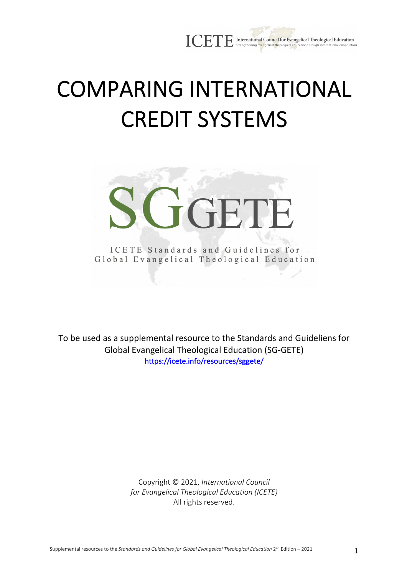

# COMPARING INTERNATIONAL CREDIT SYSTEMS



ICETE Standards and Guidelines for Global Evangelical Theological Education

To be used as a supplemental resource to the Standards and Guideliens for Global Evangelical Theological Education (SG-GETE) https://icete.info/resources/sggete/

> Copyright © 2021, *International Council for Evangelical Theological Education (ICETE)* All rights reserved.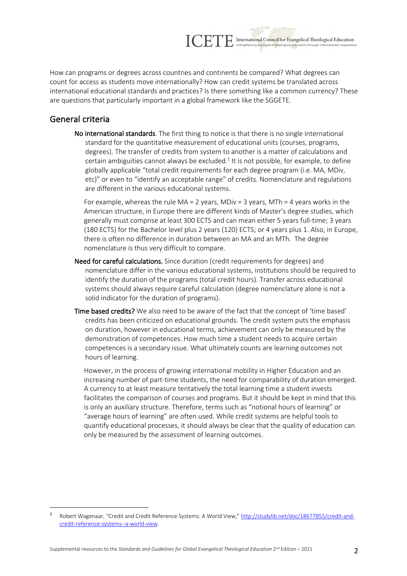How can programs or degrees across countries and continents be compared? What degrees can count for access as students move internationally? How can credit systems be translated across international educational standards and practices? Is there something like a common currency? These are questions that particularly important in a global framework like the SGGETE.

ICETE International Council for Evangelical Theological Education strengthening evangelical theological edu

### General criteria

No international standards. The first thing to notice is that there is no single international standard for the quantitative measurement of educational units (courses, programs, degrees). The transfer of credits from system to another is a matter of calculations and certain ambiguities cannot always be excluded. $1$  It is not possible, for example, to define globally applicable "total credit requirements for each degree program (i.e. MA, MDiv, etc)" or even to "identify an acceptable range" of credits. Nomenclature and regulations are different in the various educational systems.

For example, whereas the rule  $MA = 2$  years, MDiv = 3 years, MTh = 4 years works in the American structure, in Europe there are different kinds of Master's degree studies, which generally must comprise at least 300 ECTS and can mean either 5 years full-time; 3 years (180 ECTS) for the Bachelor level plus 2 years (120) ECTS; or 4 years plus 1. Also, in Europe, there is often no difference in duration between an MA and an MTh. The degree nomenclature is thus very difficult to compare.

- Need for careful calculations. Since duration (credit requirements for degrees) and nomenclature differ in the various educational systems, institutions should be required to identify the duration of the programs (total credit hours). Transfer across educational systems should always require careful calculation (degree nomenclature alone is not a solid indicator for the duration of programs).
- Time based credits? We also need to be aware of the fact that the concept of 'time based' credits has been criticized on educational grounds. The credit system puts the emphasis on duration, however in educational terms, achievement can only be measured by the demonstration of competences. How much time a student needs to acquire certain competences is a secondary issue. What ultimately counts are learning outcomes not hours of learning.

However, in the process of growing international mobility in Higher Education and an increasing number of part-time students, the need for comparability of duration emerged. A currency to at least measure tentatively the total learning time a student invests facilitates the comparison of courses and programs. But it should be kept in mind that this is only an auxiliary structure. Therefore, terms such as "notional hours of learning" or "average hours of learning" are often used. While credit systems are helpful tools to quantify educational processes, it should always be clear that the quality of education can only be measured by the assessment of learning outcomes.

<sup>1</sup> Robert Wagenaar, "Credit and Credit Reference Systems: A World View," http://studylib.net/doc/18677855/credit-andcredit-reference-systems--a-world-view.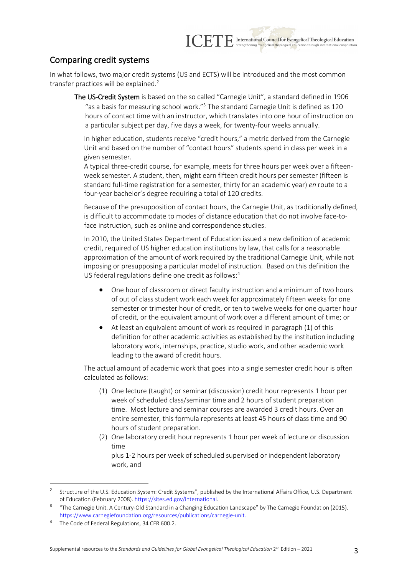

## Comparing credit systems

In what follows, two major credit systems (US and ECTS) will be introduced and the most common transfer practices will be explained.<sup>2</sup>

The US-Credit System is based on the so called "Carnegie Unit", a standard defined in 1906 "as a basis for measuring school work." $3$  The standard Carnegie Unit is defined as 120 hours of contact time with an instructor, which translates into one hour of instruction on a particular subject per day, five days a week, for twenty-four weeks annually.

In higher education, students receive "credit hours," a metric derived from the Carnegie Unit and based on the number of "contact hours" students spend in class per week in a given semester.

A typical three-credit course, for example, meets for three hours per week over a fifteenweek semester. A student, then, might earn fifteen credit hours per semester (fifteen is standard full-time registration for a semester, thirty for an academic year) *en* route to a four-year bachelor's degree requiring a total of 120 credits.

Because of the presupposition of contact hours, the Carnegie Unit, as traditionally defined, is difficult to accommodate to modes of distance education that do not involve face-toface instruction, such as online and correspondence studies.

In 2010, the United States Department of Education issued a new definition of academic credit, required of US higher education institutions by law, that calls for a reasonable approximation of the amount of work required by the traditional Carnegie Unit, while not imposing or presupposing a particular model of instruction. Based on this definition the US federal regulations define one credit as follows:<sup>4</sup>

- One hour of classroom or direct faculty instruction and a minimum of two hours of out of class student work each week for approximately fifteen weeks for one semester or trimester hour of credit, or ten to twelve weeks for one quarter hour of credit, or the equivalent amount of work over a different amount of time; or
- At least an equivalent amount of work as required in paragraph (1) of this definition for other academic activities as established by the institution including laboratory work, internships, practice, studio work, and other academic work leading to the award of credit hours.

The actual amount of academic work that goes into a single semester credit hour is often calculated as follows:

- (1) One lecture (taught) or seminar (discussion) credit hour represents 1 hour per week of scheduled class/seminar time and 2 hours of student preparation time. Most lecture and seminar courses are awarded 3 credit hours. Over an entire semester, this formula represents at least 45 hours of class time and 90 hours of student preparation.
- (2) One laboratory credit hour represents 1 hour per week of lecture or discussion time

plus 1-2 hours per week of scheduled supervised or independent laboratory work, and

<sup>2</sup> Structure of the U.S. Education System: Credit Systems", published by the International Affairs Office, U.S. Department of Education (February 2008). https://sites.ed.gov/international.

<sup>3</sup> "The Carnegie Unit. A Century-Old Standard in a Changing Education Landscape" by The Carnegie Foundation (2015). https://www.carnegiefoundation.org/resources/publications/carnegie-unit.

The Code of Federal Regulations, 34 CFR 600.2.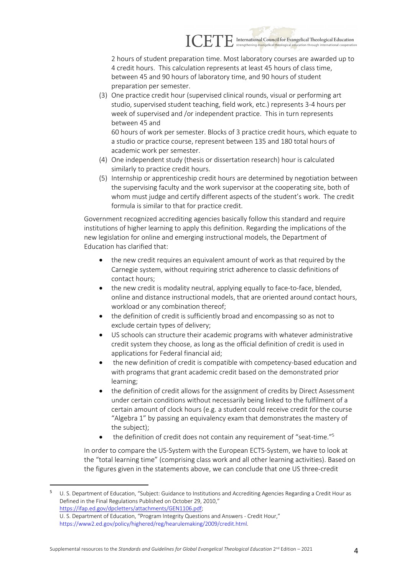

2 hours of student preparation time. Most laboratory courses are awarded up to 4 credit hours. This calculation represents at least 45 hours of class time, between 45 and 90 hours of laboratory time, and 90 hours of student preparation per semester.

(3) One practice credit hour (supervised clinical rounds, visual or performing art studio, supervised student teaching, field work, etc.) represents 3-4 hours per week of supervised and /or independent practice. This in turn represents between 45 and 60 hours of work per semester. Blocks of 3 practice credit hours, which equate to

a studio or practice course, represent between 135 and 180 total hours of academic work per semester.

- (4) One independent study (thesis or dissertation research) hour is calculated similarly to practice credit hours.
- (5) Internship or apprenticeship credit hours are determined by negotiation between the supervising faculty and the work supervisor at the cooperating site, both of whom must judge and certify different aspects of the student's work. The credit formula is similar to that for practice credit.

Government recognized accrediting agencies basically follow this standard and require institutions of higher learning to apply this definition. Regarding the implications of the new legislation for online and emerging instructional models, the Department of Education has clarified that:

- the new credit requires an equivalent amount of work as that required by the Carnegie system, without requiring strict adherence to classic definitions of contact hours;
- the new credit is modality neutral, applying equally to face-to-face, blended, online and distance instructional models, that are oriented around contact hours, workload or any combination thereof;
- the definition of credit is sufficiently broad and encompassing so as not to exclude certain types of delivery;
- US schools can structure their academic programs with whatever administrative credit system they choose, as long as the official definition of credit is used in applications for Federal financial aid;
- the new definition of credit is compatible with competency-based education and with programs that grant academic credit based on the demonstrated prior learning;
- the definition of credit allows for the assignment of credits by Direct Assessment under certain conditions without necessarily being linked to the fulfilment of a certain amount of clock hours (e.g. a student could receive credit for the course "Algebra 1" by passing an equivalency exam that demonstrates the mastery of the subject);
- the definition of credit does not contain any requirement of "seat-time."<sup>5</sup>

In order to compare the US-System with the European ECTS-System, we have to look at the "total learning time" (comprising class work and all other learning activities). Based on the figures given in the statements above, we can conclude that one US three-credit

<sup>5</sup> U. S. Department of Education, "Subject: Guidance to Institutions and Accrediting Agencies Regarding a Credit Hour as Defined in the Final Regulations Published on October 29, 2010," https://ifap.ed.gov/dpcletters/attachments/GEN1106.pdf; U. S. Department of Education, "Program Integrity Questions and Answers - Credit Hour," https://www2.ed.gov/policy/highered/reg/hearulemaking/2009/credit.html.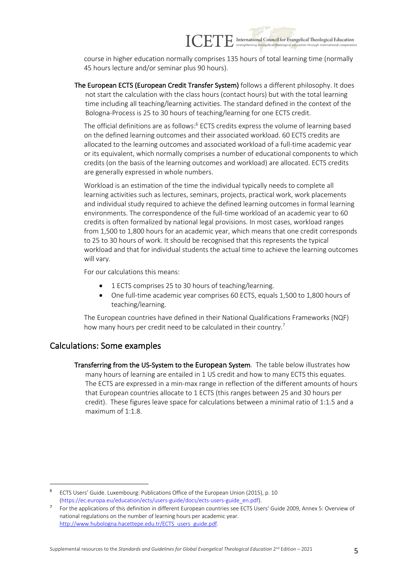

course in higher education normally comprises 135 hours of total learning time (normally 45 hours lecture and/or seminar plus 90 hours).

The European ECTS (European Credit Transfer System) follows a different philosophy. It does not start the calculation with the class hours (contact hours) but with the total learning time including all teaching/learning activities. The standard defined in the context of the Bologna-Process is 25 to 30 hours of teaching/learning for one ECTS credit.

The official definitions are as follows:<sup>6</sup> ECTS credits express the volume of learning based on the defined learning outcomes and their associated workload. 60 ECTS credits are allocated to the learning outcomes and associated workload of a full-time academic year or its equivalent, which normally comprises a number of educational components to which credits (on the basis of the learning outcomes and workload) are allocated. ECTS credits are generally expressed in whole numbers.

Workload is an estimation of the time the individual typically needs to complete all learning activities such as lectures, seminars, projects, practical work, work placements and individual study required to achieve the defined learning outcomes in formal learning environments. The correspondence of the full-time workload of an academic year to 60 credits is often formalized by national legal provisions. In most cases, workload ranges from 1,500 to 1,800 hours for an academic year, which means that one credit corresponds to 25 to 30 hours of work. It should be recognised that this represents the typical workload and that for individual students the actual time to achieve the learning outcomes will vary.

For our calculations this means:

- 1 ECTS comprises 25 to 30 hours of teaching/learning.
- One full-time academic year comprises 60 ECTS, equals 1,500 to 1,800 hours of teaching/learning.

The European countries have defined in their National Qualifications Frameworks (NQF) how many hours per credit need to be calculated in their country.<sup>7</sup>

#### Calculations: Some examples

Transferring from the US-System to the European System. The table below illustrates how many hours of learning are entailed in 1 US credit and how to many ECTS this equates. The ECTS are expressed in a min-max range in reflection of the different amounts of hours that European countries allocate to 1 ECTS (this ranges between 25 and 30 hours per credit). These figures leave space for calculations between a minimal ratio of 1:1.5 and a maximum of 1:1.8.

<sup>6</sup> ECTS Users' Guide. Luxembourg: Publications Office of the European Union (2015), p. 10 (https://ec.europa.eu/education/ects/users-guide/docs/ects-users-guide\_en.pdf).

<sup>7</sup> For the applications of this definition in different European countries see ECTS Users' Guide 2009, Annex 5: Overview of national regulations on the number of learning hours per academic year. http://www.hubologna.hacettepe.edu.tr/ECTS\_users\_guide.pdf.